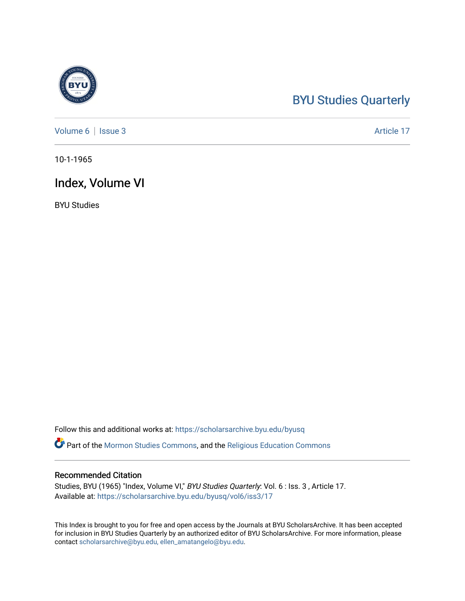#### [BYU Studies Quarterly](https://scholarsarchive.byu.edu/byusq)

[Volume 6](https://scholarsarchive.byu.edu/byusq/vol6) | [Issue 3](https://scholarsarchive.byu.edu/byusq/vol6/iss3) Article 17

10-1-1965

#### Index, Volume VI

BYU Studies

Follow this and additional works at: [https://scholarsarchive.byu.edu/byusq](https://scholarsarchive.byu.edu/byusq?utm_source=scholarsarchive.byu.edu%2Fbyusq%2Fvol6%2Fiss3%2F17&utm_medium=PDF&utm_campaign=PDFCoverPages) 

Part of the [Mormon Studies Commons](http://network.bepress.com/hgg/discipline/1360?utm_source=scholarsarchive.byu.edu%2Fbyusq%2Fvol6%2Fiss3%2F17&utm_medium=PDF&utm_campaign=PDFCoverPages), and the [Religious Education Commons](http://network.bepress.com/hgg/discipline/1414?utm_source=scholarsarchive.byu.edu%2Fbyusq%2Fvol6%2Fiss3%2F17&utm_medium=PDF&utm_campaign=PDFCoverPages) 

#### Recommended Citation

Studies, BYU (1965) "Index, Volume VI," BYU Studies Quarterly: Vol. 6 : Iss. 3 , Article 17. Available at: [https://scholarsarchive.byu.edu/byusq/vol6/iss3/17](https://scholarsarchive.byu.edu/byusq/vol6/iss3/17?utm_source=scholarsarchive.byu.edu%2Fbyusq%2Fvol6%2Fiss3%2F17&utm_medium=PDF&utm_campaign=PDFCoverPages)

This Index is brought to you for free and open access by the Journals at BYU ScholarsArchive. It has been accepted for inclusion in BYU Studies Quarterly by an authorized editor of BYU ScholarsArchive. For more information, please contact [scholarsarchive@byu.edu, ellen\\_amatangelo@byu.edu](mailto:scholarsarchive@byu.edu,%20ellen_amatangelo@byu.edu).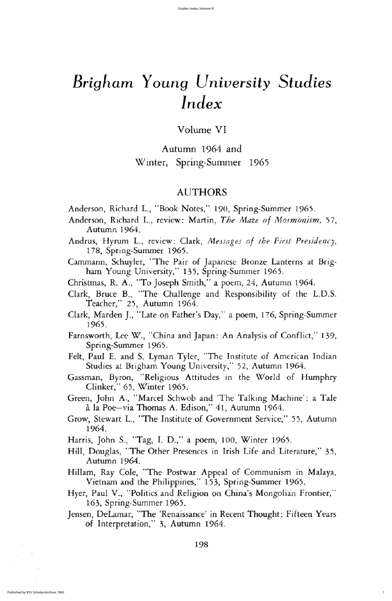volume VI

Autumn 1964 and Winter, Spring-Summer 1965

## AUTHORS

- Anderson, Richard L., "Book Notes," 190, Spring-Summer 1965.
- Anderson, Richard L., review: Martin, The Maze of Mormonism, 57, Autumn 1964.
- Andrus, Hyrum L., review: Clark, Messages of the First Presidency, 178, Spring-Summer 1965.
- Cammann, Schuyler, "The Pair of Japanese Bronze Lanterns at Brigham Young University," 135, Spring-Summer 1965.
- Christmas, R. A., "To Joseph Smith," a poem, 24, Autumn 1964.
- Clark, Bruce B., "The Challenge and Responsibility of the L.D.S. Teacher," 25, Autumn 1964.
- 
- Clark, Marden J., "Late on Father's Day," a poem, 176, Spring-Summer 1965
- Farnsworth, Lee W., "China and Japan: An Analysis of Conflict," 139, Spring-Summer 1965.
- Felt, Paul E. and S. Lyman Tyler, "The Institute of American Indian Studies at Brigham Young University," 52, Autumn 1964.
- Gassman, Byron, "Religious Attitudes in the World of Humphry Clinker," 65, Winter 1965.
- Green, John A., "Marcel Schwob and 'The Talking Machine': a Tale à la Poe-via Thomas A. Edison," 41, Autumn 1964.
- Grow, Stewart L., "The Institute of Government Service," 55, Autumn 1964
- Harris, John S., "Tag, I. D.," a poem,  $100$ , Winter 1965.
- Hill, Douglas, "The Other Presences in Irish Life and Literature," 35, Autumn 1964.
- Hillam, Ray Cole, "The Postwar Appeal of Communism in Malaya, Vietnam and the Philippines," 153, Spring-Summer 1965.
- Hyer, Paul V., "Politics and Religion on China's Mongolian Frontier," 163, Spring-Summer 1965.
- Jensen, DeLamar, "The 'Renaissance' in Recent Thought: Fifteen Years of Interpretation," 3, Autumn 1964.

198

1

# Brigham Young University Studies Index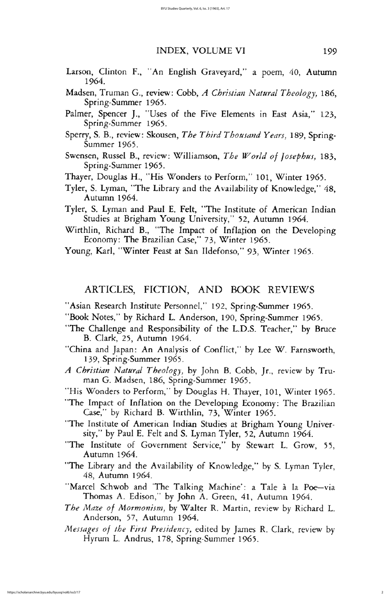#### INDEX, VOLUME VI 199

- Larson, Clinton F., "An English Graveyard," a poem, 40, Autumn 1964
- Madsen, Truman G., review: Cobb, A Christian Natural Theology, 186, Spring-Summer 1965.
- Palmer, Spencer J., "Uses of the Five Elements in East Asia," 123, Spring-Summer 1965.
- Sperry, S. B., review: Skousen, The Third Thousand Years, 189, Spring-Summer 1965.
- Swensen, Russel B., review: Williamson, The World of Josephus, 183, Spring-Summer 1965.
- Thayer, Douglas H., "His Wonders to Perform," 101, Winter 1965.
- Tyler, S. Lyman, "The Library and the Availability of Knowledge," 48, Autumn 1964.
- Tyler, S. Lyman and Paul E. Felt, "The Institute of American Indian Studies at Brigham Young University," 52, Autumn 1964.
- Wirthlin, Richard B., "The Impact of Inflation on the Developing Economy: The Brazilian Case," 73, Winter 1965.

Young, Karl, "Winter Feast at San Ildefonso," 93, Winter 1965.

## ARTICLES, FICTION, AND BOOK REVIEWS

"Asian Research Institute Personnel," 192, Spring-Summer 1965.

- 
- "Book Notes," by Richard L. Anderson, 190, Spring-Summer 1965.
- "The Challenge and Responsibility of the L.D.S. Teacher," by Bruce B. Clark, 25, Autumn 1964.
- "China and Japan: An Analysis of Conflict," by Lee W. Farnsworth, 139, Spring-Summer 1965.
- A Christian Natural Theology, by John B. Cobb, Jr., review by Truman G. Madsen, 186, Spring-Summer 1965.
- "His Wonders to Perform," by Douglas H. Thayer, 101, Winter 1965.
- "The Impact of Inflation on the Developing Economy: The Brazilian Case," by Richard B. Wirthlin, 73, Winter 1965.
- "The Institute of American Indian Studies at Brigham Young University," by Paul E. Felt and S. Lyman Tyler, 52, Autumn 1964.
- "The Institute of Government Service," by Stewart L. Grow, 55, Autumn 1964.
- "The Library and the Availability of Knowledge," by S. Lyman Tyler, 48, Autumn 1964.
- "Marcel Schwob and 'The Talking Machine': a Tale à la Poe-via Thomas A. Edison," by John A. Green, 41, Autumn 1964.
- The Maze of Mormonism, by Walter R. Martin, review by Richard L. Anderson, 57, Autumn 1964.
- Messages of the First Presidency, edited by James R. Clark, review by Hyrum L. Andrus, 178, Spring-Summer 1965.